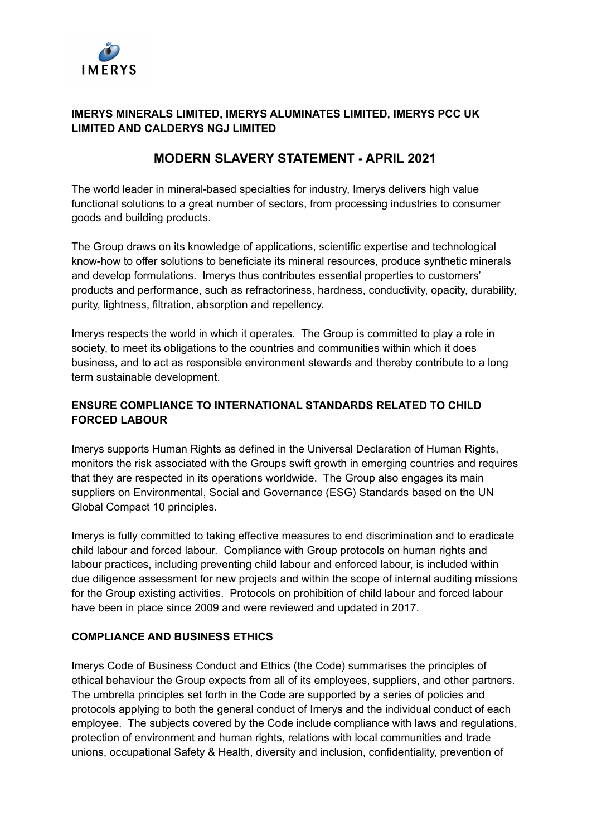

## **IMERYS MINERALS LIMITED, IMERYS ALUMINATES LIMITED, IMERYS PCC UK LIMITED AND CALDERYS NGJ LIMITED**

# **MODERN SLAVERY STATEMENT - APRIL 2021**

The world leader in mineral-based specialties for industry, Imerys delivers high value functional solutions to a great number of sectors, from processing industries to consumer goods and building products.

The Group draws on its knowledge of applications, scientific expertise and technological know-how to offer solutions to beneficiate its mineral resources, produce synthetic minerals and develop formulations. Imerys thus contributes essential properties to customers' products and performance, such as refractoriness, hardness, conductivity, opacity, durability, purity, lightness, filtration, absorption and repellency.

Imerys respects the world in which it operates. The Group is committed to play a role in society, to meet its obligations to the countries and communities within which it does business, and to act as responsible environment stewards and thereby contribute to a long term sustainable development.

# **ENSURE COMPLIANCE TO INTERNATIONAL STANDARDS RELATED TO CHILD FORCED LABOUR**

Imerys supports Human Rights as defined in the Universal Declaration of Human Rights, monitors the risk associated with the Groups swift growth in emerging countries and requires that they are respected in its operations worldwide. The Group also engages its main suppliers on Environmental, Social and Governance (ESG) Standards based on the UN Global Compact 10 principles.

Imerys is fully committed to taking effective measures to end discrimination and to eradicate child labour and forced labour. Compliance with Group protocols on human rights and labour practices, including preventing child labour and enforced labour, is included within due diligence assessment for new projects and within the scope of internal auditing missions for the Group existing activities. Protocols on prohibition of child labour and forced labour have been in place since 2009 and were reviewed and updated in 2017.

## **COMPLIANCE AND BUSINESS ETHICS**

Imerys Code of Business Conduct and Ethics (the Code) summarises the principles of ethical behaviour the Group expects from all of its employees, suppliers, and other partners. The umbrella principles set forth in the Code are supported by a series of policies and protocols applying to both the general conduct of Imerys and the individual conduct of each employee. The subjects covered by the Code include compliance with laws and regulations, protection of environment and human rights, relations with local communities and trade unions, occupational Safety & Health, diversity and inclusion, confidentiality, prevention of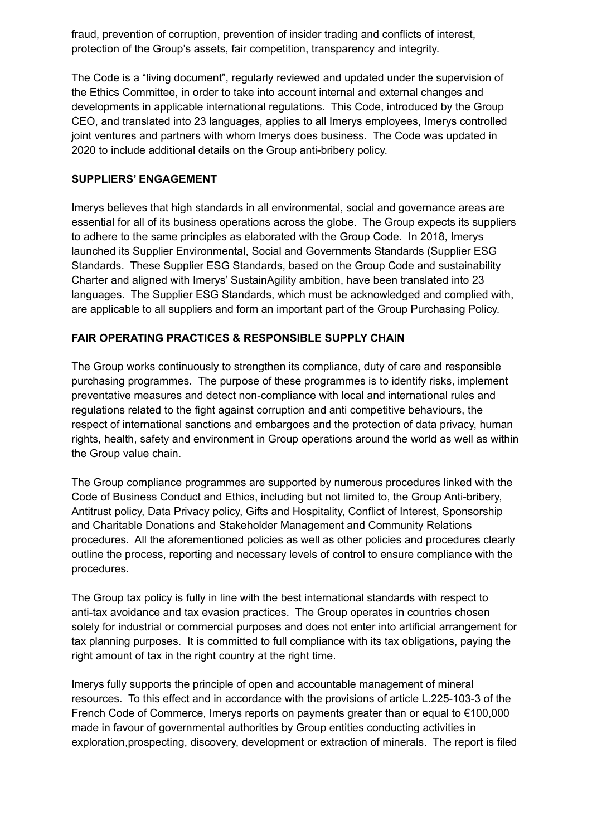fraud, prevention of corruption, prevention of insider trading and conflicts of interest, protection of the Group's assets, fair competition, transparency and integrity.

The Code is a "living document", regularly reviewed and updated under the supervision of the Ethics Committee, in order to take into account internal and external changes and developments in applicable international regulations. This Code, introduced by the Group CEO, and translated into 23 languages, applies to all Imerys employees, Imerys controlled joint ventures and partners with whom Imerys does business. The Code was updated in 2020 to include additional details on the Group anti-bribery policy.

#### **SUPPLIERS' ENGAGEMENT**

Imerys believes that high standards in all environmental, social and governance areas are essential for all of its business operations across the globe. The Group expects its suppliers to adhere to the same principles as elaborated with the Group Code. In 2018, Imerys launched its Supplier Environmental, Social and Governments Standards (Supplier ESG Standards. These Supplier ESG Standards, based on the Group Code and sustainability Charter and aligned with Imerys' SustainAgility ambition, have been translated into 23 languages. The Supplier ESG Standards, which must be acknowledged and complied with, are applicable to all suppliers and form an important part of the Group Purchasing Policy.

#### **FAIR OPERATING PRACTICES & RESPONSIBLE SUPPLY CHAIN**

The Group works continuously to strengthen its compliance, duty of care and responsible purchasing programmes. The purpose of these programmes is to identify risks, implement preventative measures and detect non-compliance with local and international rules and regulations related to the fight against corruption and anti competitive behaviours, the respect of international sanctions and embargoes and the protection of data privacy, human rights, health, safety and environment in Group operations around the world as well as within the Group value chain.

The Group compliance programmes are supported by numerous procedures linked with the Code of Business Conduct and Ethics, including but not limited to, the Group Anti-bribery, Antitrust policy, Data Privacy policy, Gifts and Hospitality, Conflict of Interest, Sponsorship and Charitable Donations and Stakeholder Management and Community Relations procedures. All the aforementioned policies as well as other policies and procedures clearly outline the process, reporting and necessary levels of control to ensure compliance with the procedures.

The Group tax policy is fully in line with the best international standards with respect to anti-tax avoidance and tax evasion practices. The Group operates in countries chosen solely for industrial or commercial purposes and does not enter into artificial arrangement for tax planning purposes. It is committed to full compliance with its tax obligations, paying the right amount of tax in the right country at the right time.

Imerys fully supports the principle of open and accountable management of mineral resources. To this effect and in accordance with the provisions of article L.225-103-3 of the French Code of Commerce, Imerys reports on payments greater than or equal to €100,000 made in favour of governmental authorities by Group entities conducting activities in exploration,prospecting, discovery, development or extraction of minerals. The report is filed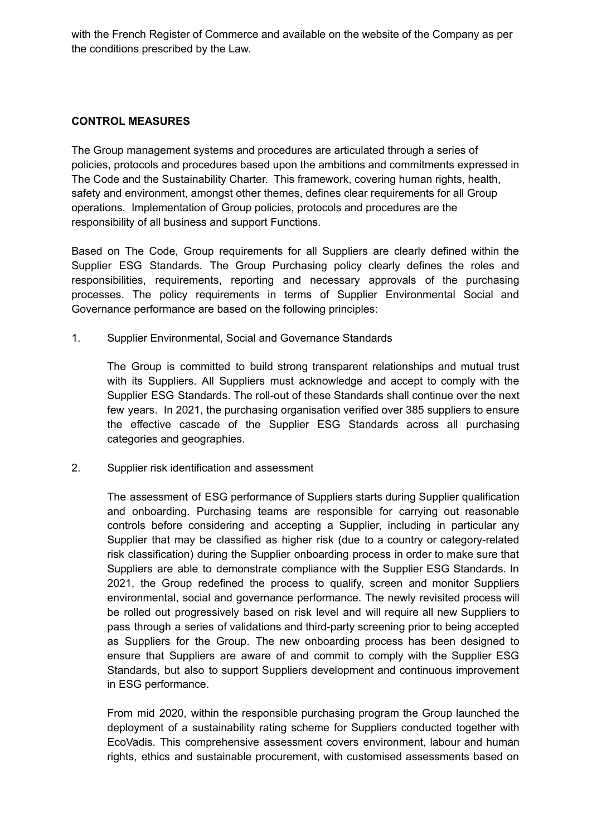with the French Register of Commerce and available on the website of the Company as per the conditions prescribed by the Law.

#### **CONTROL MEASURES**

The Group management systems and procedures are articulated through a series of policies, protocols and procedures based upon the ambitions and commitments expressed in The Code and the Sustainability Charter. This framework, covering human rights, health, safety and environment, amongst other themes, defines clear requirements for all Group operations. Implementation of Group policies, protocols and procedures are the responsibility of all business and support Functions.

Based on The Code, Group requirements for all Suppliers are clearly defined within the Supplier ESG Standards. The Group Purchasing policy clearly defines the roles and responsibilities, requirements, reporting and necessary approvals of the purchasing processes. The policy requirements in terms of Supplier Environmental Social and Governance performance are based on the following principles:

1. Supplier Environmental, Social and Governance Standards

The Group is committed to build strong transparent relationships and mutual trust with its Suppliers. All Suppliers must acknowledge and accept to comply with the Supplier ESG Standards. The roll-out of these Standards shall continue over the next few years. In 2021, the purchasing organisation verified over 385 suppliers to ensure the effective cascade of the Supplier ESG Standards across all purchasing categories and geographies.

2. Supplier risk identification and assessment

The assessment of ESG performance of Suppliers starts during Supplier qualification and onboarding. Purchasing teams are responsible for carrying out reasonable controls before considering and accepting a Supplier, including in particular any Supplier that may be classified as higher risk (due to a country or category-related risk classification) during the Supplier onboarding process in order to make sure that Suppliers are able to demonstrate compliance with the Supplier ESG Standards. In 2021, the Group redefined the process to qualify, screen and monitor Suppliers environmental, social and governance performance. The newly revisited process will be rolled out progressively based on risk level and will require all new Suppliers to pass through a series of validations and third-party screening prior to being accepted as Suppliers for the Group. The new onboarding process has been designed to ensure that Suppliers are aware of and commit to comply with the Supplier ESG Standards, but also to support Suppliers development and continuous improvement in ESG performance.

From mid 2020, within the responsible purchasing program the Group launched the deployment of a sustainability rating scheme for Suppliers conducted together with EcoVadis. This comprehensive assessment covers environment, labour and human rights, ethics and sustainable procurement, with customised assessments based on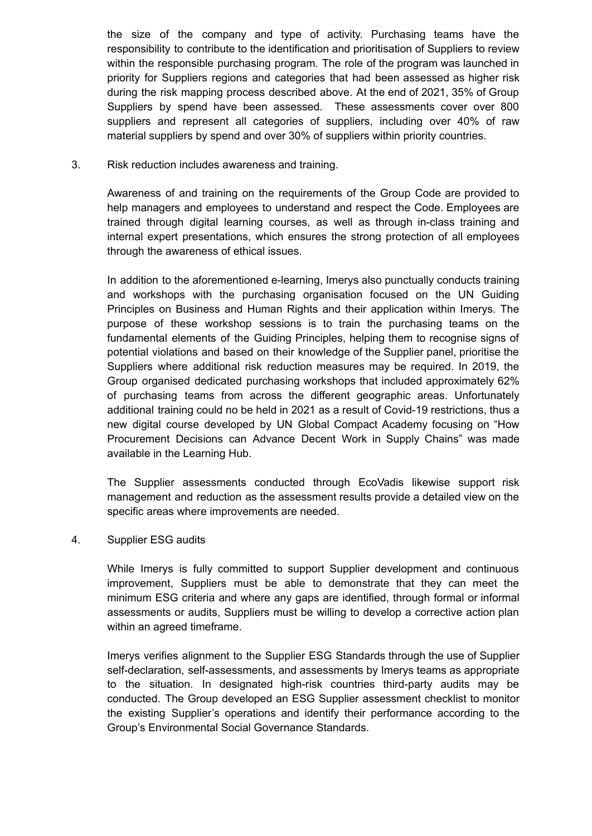the size of the company and type of activity. Purchasing teams have the responsibility to contribute to the identification and prioritisation of Suppliers to review within the responsible purchasing program. The role of the program was launched in priority for Suppliers regions and categories that had been assessed as higher risk during the risk mapping process described above. At the end of 2021, 35% of Group Suppliers by spend have been assessed. These assessments cover over 800 suppliers and represent all categories of suppliers, including over 40% of raw material suppliers by spend and over 30% of suppliers within priority countries.

3. Risk reduction includes awareness and training.

Awareness of and training on the requirements of the Group Code are provided to help managers and employees to understand and respect the Code. Employees are trained through digital learning courses, as well as through in-class training and internal expert presentations, which ensures the strong protection of all employees through the awareness of ethical issues.

In addition to the aforementioned e-learning, Imerys also punctually conducts training and workshops with the purchasing organisation focused on the UN Guiding Principles on Business and Human Rights and their application within Imerys. The purpose of these workshop sessions is to train the purchasing teams on the fundamental elements of the Guiding Principles, helping them to recognise signs of potential violations and based on their knowledge of the Supplier panel, prioritise the Suppliers where additional risk reduction measures may be required. In 2019, the Group organised dedicated purchasing workshops that included approximately 62% of purchasing teams from across the different geographic areas. Unfortunately additional training could no be held in 2021 as a result of Covid-19 restrictions, thus a new digital course developed by UN Global Compact Academy focusing on "How Procurement Decisions can Advance Decent Work in Supply Chains" was made available in the Learning Hub.

The Supplier assessments conducted through EcoVadis likewise support risk management and reduction as the assessment results provide a detailed view on the specific areas where improvements are needed.

4. Supplier ESG audits

While Imerys is fully committed to support Supplier development and continuous improvement, Suppliers must be able to demonstrate that they can meet the minimum ESG criteria and where any gaps are identified, through formal or informal assessments or audits, Suppliers must be willing to develop a corrective action plan within an agreed timeframe.

Imerys verifies alignment to the Supplier ESG Standards through the use of Supplier self-declaration, self-assessments, and assessments by Imerys teams as appropriate to the situation. In designated high-risk countries third-party audits may be conducted. The Group developed an ESG Supplier assessment checklist to monitor the existing Supplier's operations and identify their performance according to the Group's Environmental Social Governance Standards.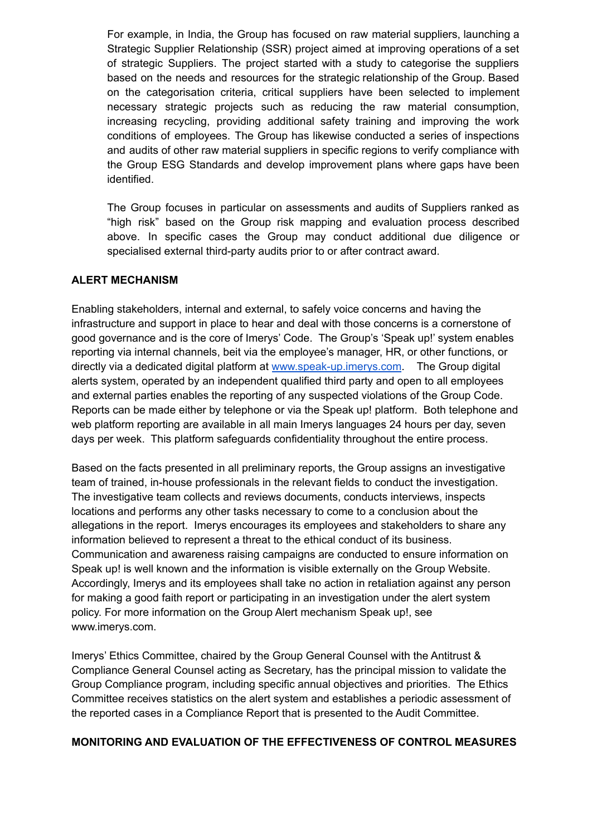For example, in India, the Group has focused on raw material suppliers, launching a Strategic Supplier Relationship (SSR) project aimed at improving operations of a set of strategic Suppliers. The project started with a study to categorise the suppliers based on the needs and resources for the strategic relationship of the Group. Based on the categorisation criteria, critical suppliers have been selected to implement necessary strategic projects such as reducing the raw material consumption, increasing recycling, providing additional safety training and improving the work conditions of employees. The Group has likewise conducted a series of inspections and audits of other raw material suppliers in specific regions to verify compliance with the Group ESG Standards and develop improvement plans where gaps have been identified.

The Group focuses in particular on assessments and audits of Suppliers ranked as "high risk" based on the Group risk mapping and evaluation process described above. In specific cases the Group may conduct additional due diligence or specialised external third-party audits prior to or after contract award.

#### **ALERT MECHANISM**

Enabling stakeholders, internal and external, to safely voice concerns and having the infrastructure and support in place to hear and deal with those concerns is a cornerstone of good governance and is the core of Imerys' Code. The Group's 'Speak up!' system enables reporting via internal channels, beit via the employee's manager, HR, or other functions, or directly via a dedicated digital platform at [www.speak-up.imerys.com](http://www.speak-up.imerys.com). The Group digital alerts system, operated by an independent qualified third party and open to all employees and external parties enables the reporting of any suspected violations of the Group Code. Reports can be made either by telephone or via the Speak up! platform. Both telephone and web platform reporting are available in all main Imerys languages 24 hours per day, seven days per week. This platform safeguards confidentiality throughout the entire process.

Based on the facts presented in all preliminary reports, the Group assigns an investigative team of trained, in-house professionals in the relevant fields to conduct the investigation. The investigative team collects and reviews documents, conducts interviews, inspects locations and performs any other tasks necessary to come to a conclusion about the allegations in the report. Imerys encourages its employees and stakeholders to share any information believed to represent a threat to the ethical conduct of its business. Communication and awareness raising campaigns are conducted to ensure information on Speak up! is well known and the information is visible externally on the Group Website. Accordingly, Imerys and its employees shall take no action in retaliation against any person for making a good faith report or participating in an investigation under the alert system policy. For more information on the Group Alert mechanism Speak up!, see www.imerys.com.

Imerys' Ethics Committee, chaired by the Group General Counsel with the Antitrust & Compliance General Counsel acting as Secretary, has the principal mission to validate the Group Compliance program, including specific annual objectives and priorities. The Ethics Committee receives statistics on the alert system and establishes a periodic assessment of the reported cases in a Compliance Report that is presented to the Audit Committee.

#### **MONITORING AND EVALUATION OF THE EFFECTIVENESS OF CONTROL MEASURES**